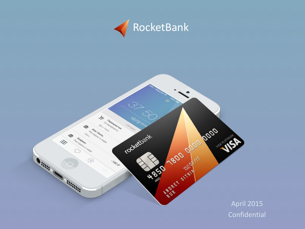

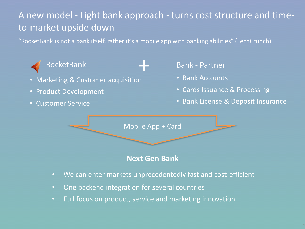## A new model - Light bank approach - turns cost structure and timeto-market upside down

"RocketBank is not a bank itself, rather it's a mobile app with banking abilities" (TechCrunch)



- Marketing & Customer acquisition +
- Product Development
- Customer Service
- RocketBank **Bank Partner** 
	- Bank Accounts
	- Cards Issuance & Processing
	- Bank License & Deposit Insurance

Mobile App + Card

#### **Next Gen Bank**

- We can enter markets unprecedentedly fast and cost-efficient
- One backend integration for several countries
- Full focus on product, service and marketing innovation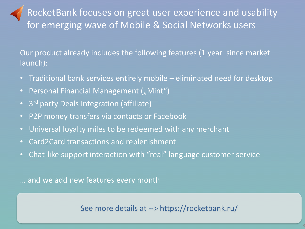RocketBank focuses on great user experience and usability for emerging wave of Mobile & Social Networks users

Our product already includes the following features (1 year since market launch):

- Traditional bank services entirely mobile eliminated need for desktop
- Personal Financial Management ("Mint")
- 3<sup>rd</sup> party Deals Integration (affiliate)
- P2P money transfers via contacts or Facebook
- Universal loyalty miles to be redeemed with any merchant
- Card2Card transactions and replenishment
- Chat-like support interaction with "real" language customer service

… and we add new features every month

See more details at --> https://rocketbank.ru/

3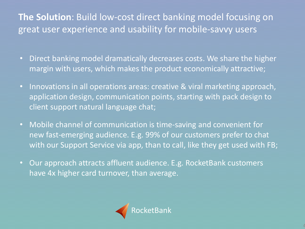# **The Solution**: Build low-cost direct banking model focusing on great user experience and usability for mobile-savvy users

- Direct banking model dramatically decreases costs. We share the higher margin with users, which makes the product economically attractive;
- Innovations in all operations areas: creative & viral marketing approach, application design, communication points, starting with pack design to client support natural language chat;
- Mobile channel of communication is time-saving and convenient for new fast-emerging audience. E.g. 99% of our customers prefer to chat with our Support Service via app, than to call, like they get used with FB;
- Our approach attracts affluent audience. E.g. RocketBank customers have 4x higher card turnover, than average.

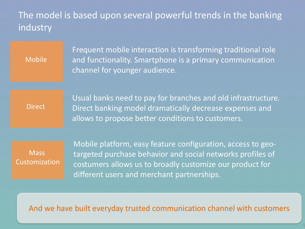### The model is based upon several powerful trends in the banking industry

Mobile

Frequent mobile interaction is transforming traditional role and functionality. Smartphone is a primary communication channel for younger audience.

**Direct** 

Usual banks need to pay for branches and old infrastructure. Direct banking model dramatically decrease expenses and allows to propose better conditions to customers.

**Mass** Customization Mobile platform, easy feature configuration, access to geotargeted purchase behavior and social networks profiles of costumers allows us to broadly customize our product for different users and merchant partnerships.

And we have built everyday trusted communication channel with customers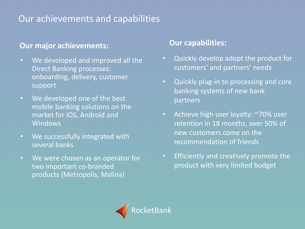## Our achievements and capabilities

#### **Our major achievements:**

- We developed and improved all the Direct Banking processes: onboarding, delivery, customer support
- We developed one of the best mobile banking solutions on the market for iOS, Android and **Windows**
- We successfully integrated with several banks
- We were chosen as an operator for two important co-branded products (Metropolis, Malina)

#### **Our capabilities:**

- Quickly develop adopt the product for customers' and partners' needs
- Quickly plug-in to processing and core banking systems of new bank partners
- Achieve high user loyalty: ~70% user retention in 18 months, over 50% of new customers come on the recommendation of friends
- Efficiently and creatively promote the product with very limited budget

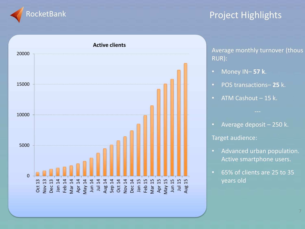

#### Project Highlights



Average monthly turnover (thous RUR):

- Money IN– **57 k**.
- POS transactions– **25** k.
- ATM Cashout 15 k.
- Average deposit 250 k.

Target audience:

- Advanced urban population. Active smartphone users.
- 65% of clients are 25 to 35 years old